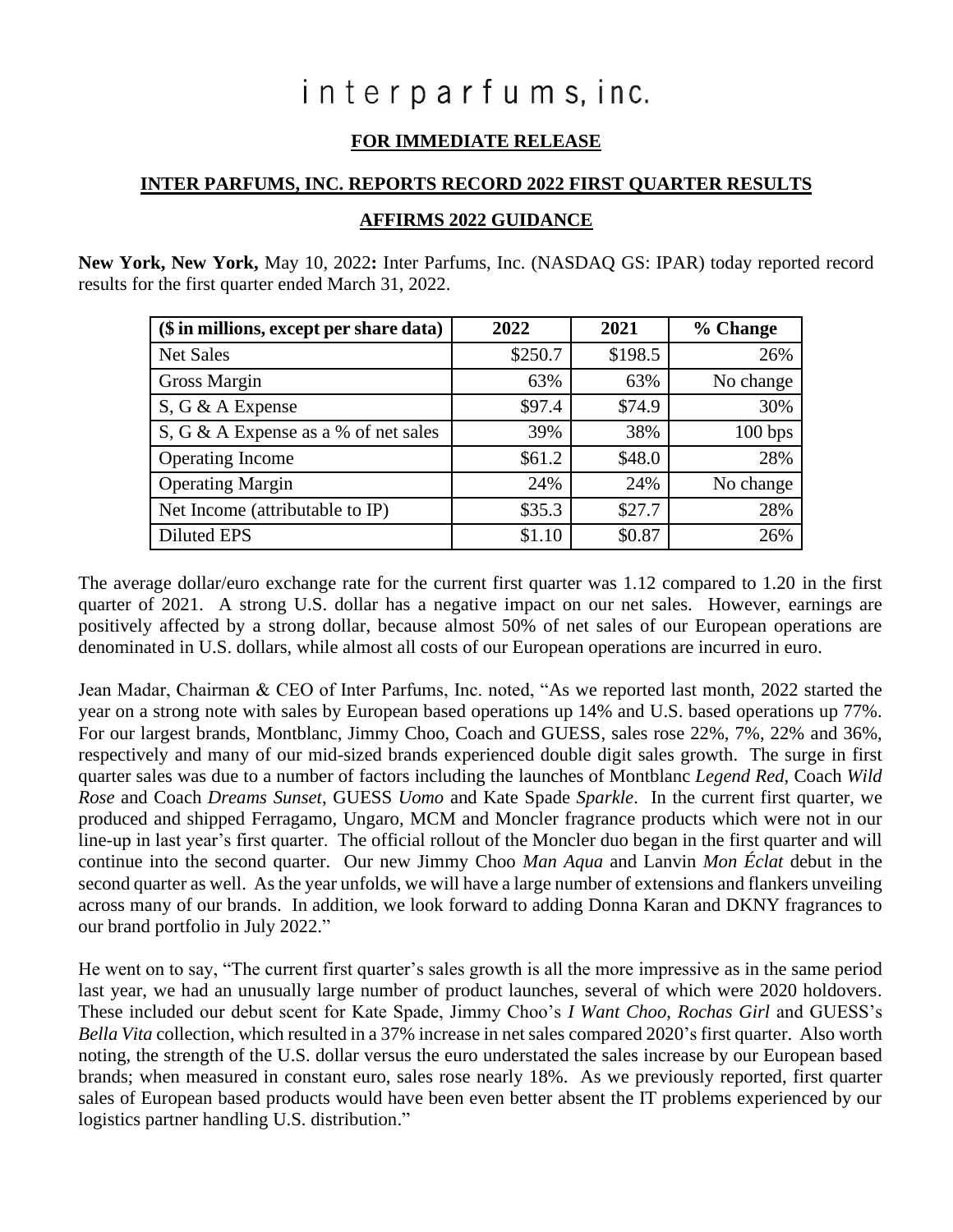# interparfums, inc.

# **FOR IMMEDIATE RELEASE**

#### **INTER PARFUMS, INC. REPORTS RECORD 2022 FIRST QUARTER RESULTS**

#### **AFFIRMS 2022 GUIDANCE**

**New York, New York,** May 10, 2022**:** Inter Parfums, Inc. (NASDAQ GS: IPAR) today reported record results for the first quarter ended March 31, 2022.

| (\$ in millions, except per share data) | 2022    | 2021    | % Change  |  |
|-----------------------------------------|---------|---------|-----------|--|
| <b>Net Sales</b>                        | \$250.7 | \$198.5 | 26%       |  |
| <b>Gross Margin</b>                     | 63%     | 63%     | No change |  |
| S, G & A Expense                        | \$97.4  | \$74.9  | 30%       |  |
| S, G & A Expense as a % of net sales    | 39%     | 38%     | 100 bps   |  |
| Operating Income                        | \$61.2  | \$48.0  | 28%       |  |
| <b>Operating Margin</b>                 | 24%     | 24%     | No change |  |
| Net Income (attributable to IP)         | \$35.3  | \$27.7  | 28%       |  |
| <b>Diluted EPS</b>                      | \$1.10  | \$0.87  | 26%       |  |

The average dollar/euro exchange rate for the current first quarter was 1.12 compared to 1.20 in the first quarter of 2021. A strong U.S. dollar has a negative impact on our net sales. However, earnings are positively affected by a strong dollar, because almost 50% of net sales of our European operations are denominated in U.S. dollars, while almost all costs of our European operations are incurred in euro.

Jean Madar, Chairman & CEO of Inter Parfums, Inc. noted, "As we reported last month, 2022 started the year on a strong note with sales by European based operations up 14% and U.S. based operations up 77%. For our largest brands, Montblanc, Jimmy Choo, Coach and GUESS, sales rose 22%, 7%, 22% and 36%, respectively and many of our mid-sized brands experienced double digit sales growth. The surge in first quarter sales was due to a number of factors including the launches of Montblanc *Legend Red*, Coach *Wild Rose* and Coach *Dreams Sunset*, GUESS *Uomo* and Kate Spade *Sparkle*. In the current first quarter, we produced and shipped Ferragamo, Ungaro, MCM and Moncler fragrance products which were not in our line-up in last year's first quarter. The official rollout of the Moncler duo began in the first quarter and will continue into the second quarter. Our new Jimmy Choo *Man Aqua* and Lanvin *Mon Éclat* debut in the second quarter as well. As the year unfolds, we will have a large number of extensions and flankers unveiling across many of our brands. In addition, we look forward to adding Donna Karan and DKNY fragrances to our brand portfolio in July 2022."

He went on to say, "The current first quarter's sales growth is all the more impressive as in the same period last year, we had an unusually large number of product launches, several of which were 2020 holdovers. These included our debut scent for Kate Spade, Jimmy Choo's *I Want Choo*, *Rochas Girl* and GUESS's *Bella Vita* collection, which resulted in a 37% increase in net sales compared 2020's first quarter. Also worth noting, the strength of the U.S. dollar versus the euro understated the sales increase by our European based brands; when measured in constant euro, sales rose nearly 18%. As we previously reported, first quarter sales of European based products would have been even better absent the IT problems experienced by our logistics partner handling U.S. distribution."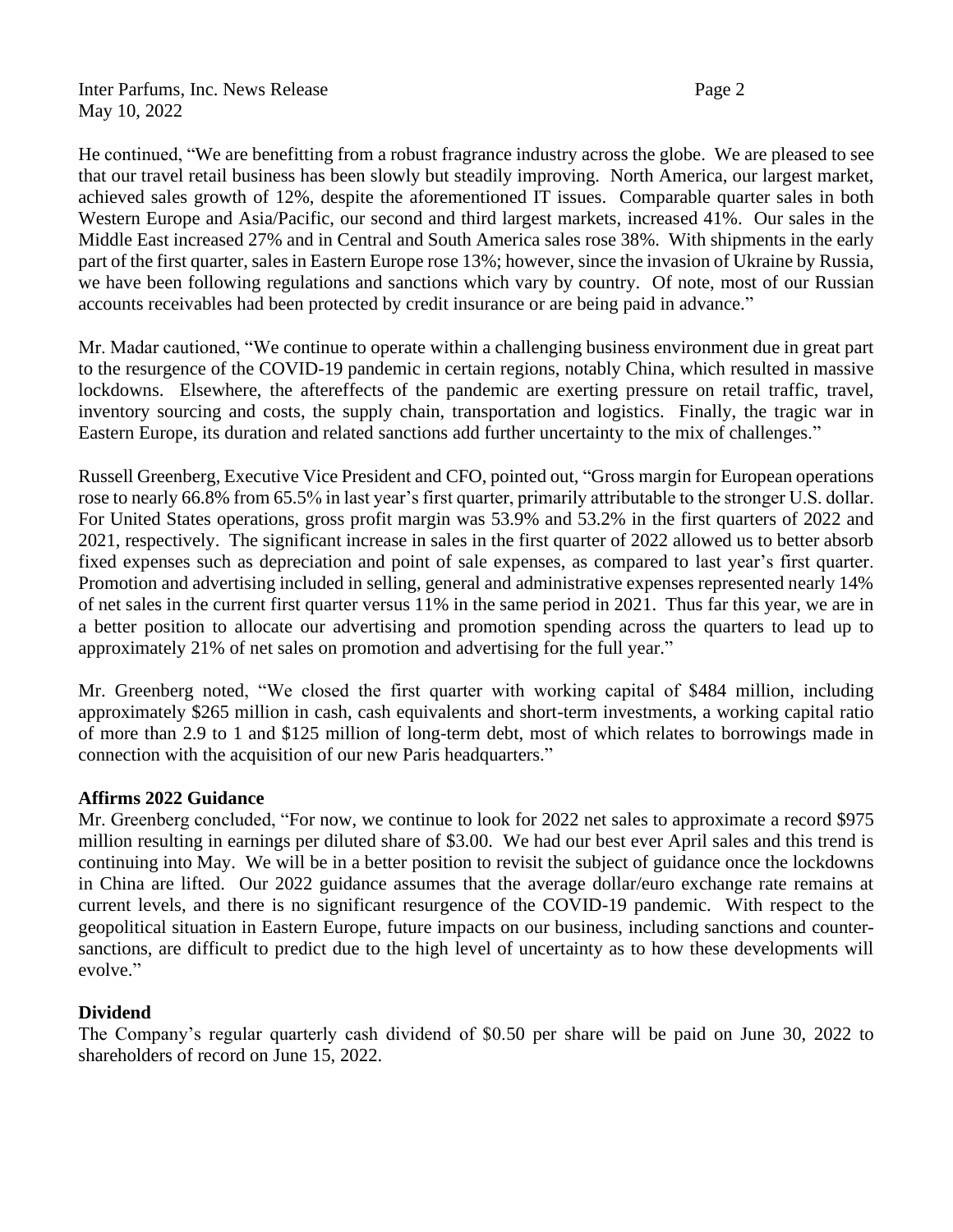Inter Parfums, Inc. News Release Page 2 May 10, 2022

He continued, "We are benefitting from a robust fragrance industry across the globe. We are pleased to see that our travel retail business has been slowly but steadily improving. North America, our largest market, achieved sales growth of 12%, despite the aforementioned IT issues. Comparable quarter sales in both Western Europe and Asia/Pacific, our second and third largest markets, increased 41%. Our sales in the Middle East increased 27% and in Central and South America sales rose 38%. With shipments in the early part of the first quarter, sales in Eastern Europe rose 13%; however, since the invasion of Ukraine by Russia, we have been following regulations and sanctions which vary by country. Of note, most of our Russian accounts receivables had been protected by credit insurance or are being paid in advance."

Mr. Madar cautioned, "We continue to operate within a challenging business environment due in great part to the resurgence of the COVID-19 pandemic in certain regions, notably China, which resulted in massive lockdowns. Elsewhere, the aftereffects of the pandemic are exerting pressure on retail traffic, travel, inventory sourcing and costs, the supply chain, transportation and logistics. Finally, the tragic war in Eastern Europe, its duration and related sanctions add further uncertainty to the mix of challenges."

Russell Greenberg, Executive Vice President and CFO, pointed out, "Gross margin for European operations rose to nearly 66.8% from 65.5% in last year's first quarter, primarily attributable to the stronger U.S. dollar. For United States operations, gross profit margin was 53.9% and 53.2% in the first quarters of 2022 and 2021, respectively. The significant increase in sales in the first quarter of 2022 allowed us to better absorb fixed expenses such as depreciation and point of sale expenses, as compared to last year's first quarter. Promotion and advertising included in selling, general and administrative expenses represented nearly 14% of net sales in the current first quarter versus 11% in the same period in 2021. Thus far this year, we are in a better position to allocate our advertising and promotion spending across the quarters to lead up to approximately 21% of net sales on promotion and advertising for the full year."

Mr. Greenberg noted, "We closed the first quarter with working capital of \$484 million, including approximately \$265 million in cash, cash equivalents and short-term investments, a working capital ratio of more than 2.9 to 1 and \$125 million of long-term debt, most of which relates to borrowings made in connection with the acquisition of our new Paris headquarters."

#### **Affirms 2022 Guidance**

Mr. Greenberg concluded, "For now, we continue to look for 2022 net sales to approximate a record \$975 million resulting in earnings per diluted share of \$3.00. We had our best ever April sales and this trend is continuing into May. We will be in a better position to revisit the subject of guidance once the lockdowns in China are lifted. Our 2022 guidance assumes that the average dollar/euro exchange rate remains at current levels, and there is no significant resurgence of the COVID-19 pandemic. With respect to the geopolitical situation in Eastern Europe, future impacts on our business, including sanctions and countersanctions, are difficult to predict due to the high level of uncertainty as to how these developments will evolve."

### **Dividend**

The Company's regular quarterly cash dividend of \$0.50 per share will be paid on June 30, 2022 to shareholders of record on June 15, 2022.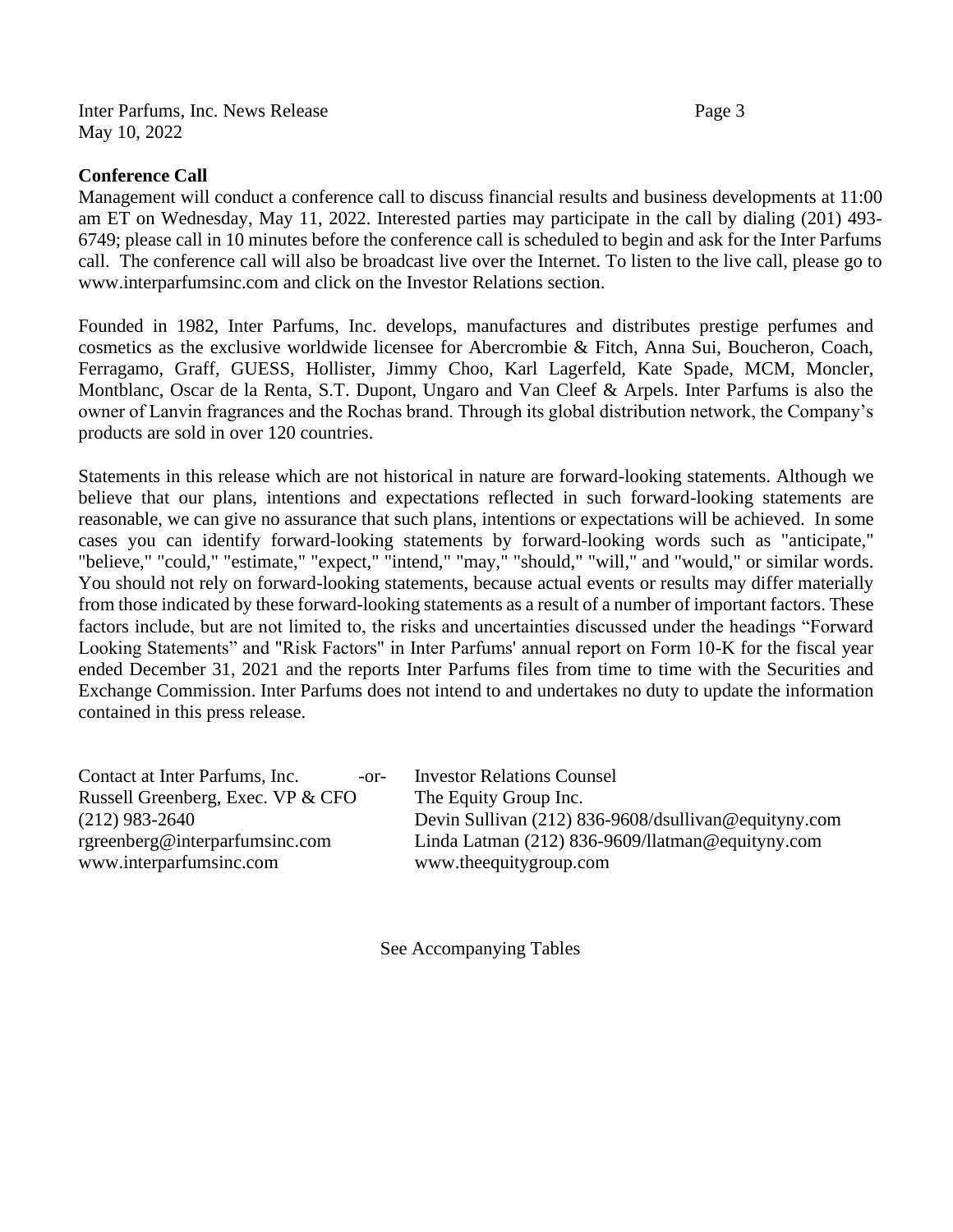Inter Parfums, Inc. News Release Page 3 May 10, 2022

#### **Conference Call**

Management will conduct a conference call to discuss financial results and business developments at 11:00 am ET on Wednesday, May 11, 2022. Interested parties may participate in the call by dialing (201) 493- 6749; please call in 10 minutes before the conference call is scheduled to begin and ask for the Inter Parfums call. The conference call will also be broadcast live over the Internet. To listen to the live call, please go to [www.interparfumsinc.com](http://www.interparfumsinc.com/) and click on the Investor Relations section.

Founded in 1982, Inter Parfums, Inc. develops, manufactures and distributes prestige perfumes and cosmetics as the exclusive worldwide licensee for Abercrombie & Fitch, Anna Sui, Boucheron, Coach, Ferragamo, Graff, GUESS, Hollister, Jimmy Choo, Karl Lagerfeld, Kate Spade, MCM, Moncler, Montblanc, Oscar de la Renta, S.T. Dupont, Ungaro and Van Cleef & Arpels. Inter Parfums is also the owner of Lanvin fragrances and the Rochas brand. Through its global distribution network, the Company's products are sold in over 120 countries.

Statements in this release which are not historical in nature are forward-looking statements. Although we believe that our plans, intentions and expectations reflected in such forward-looking statements are reasonable, we can give no assurance that such plans, intentions or expectations will be achieved. In some cases you can identify forward-looking statements by forward-looking words such as "anticipate," "believe," "could," "estimate," "expect," "intend," "may," "should," "will," and "would," or similar words. You should not rely on forward-looking statements, because actual events or results may differ materially from those indicated by these forward-looking statements as a result of a number of important factors. These factors include, but are not limited to, the risks and uncertainties discussed under the headings "Forward Looking Statements" and "Risk Factors" in Inter Parfums' annual report on Form 10-K for the fiscal year ended December 31, 2021 and the reports Inter Parfums files from time to time with the Securities and Exchange Commission. Inter Parfums does not intend to and undertakes no duty to update the information contained in this press release.

Contact at Inter Parfums, Inc. -or- Investor Relations Counsel Russell Greenberg, Exec. VP & CFO The Equity Group Inc. [www.interparfumsinc.com](http://www.interparfumsinc.com/) [www.theequitygroup.com](http://www.theequitygroup.com/)

(212) 983-2640 Devin Sullivan (212) 836-9608/dsullivan@equityny.com [rgreenberg@interparfumsinc.com](mailto:rgreenberg@interparfumsinc.com) Linda Latman (212) 836-9609[/llatman@equityny.com](mailto:llatman@equityny.com)

See Accompanying Tables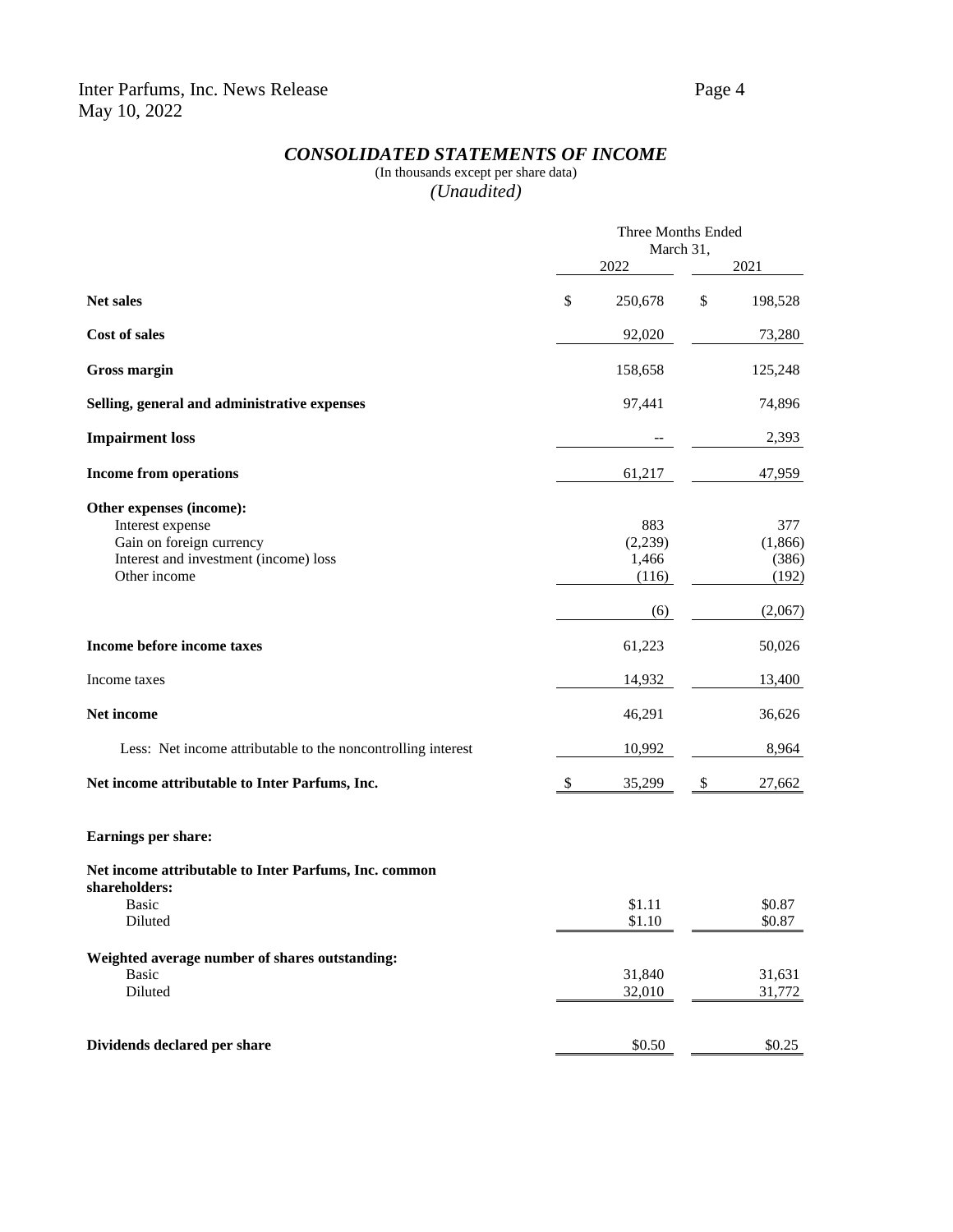## *CONSOLIDATED STATEMENTS OF INCOME*

### (In thousands except per share data) *(Unaudited)*

|                                                              | Three Months Ended |         |    |         |  |
|--------------------------------------------------------------|--------------------|---------|----|---------|--|
|                                                              | March 31,          |         |    |         |  |
|                                                              |                    | 2022    |    | 2021    |  |
| Net sales                                                    | \$                 | 250,678 | \$ | 198,528 |  |
| <b>Cost of sales</b>                                         |                    | 92,020  |    | 73,280  |  |
| <b>Gross margin</b>                                          |                    | 158,658 |    | 125,248 |  |
| Selling, general and administrative expenses                 |                    | 97,441  |    | 74,896  |  |
| <b>Impairment</b> loss                                       |                    |         |    | 2,393   |  |
| <b>Income from operations</b>                                |                    | 61,217  |    | 47,959  |  |
| Other expenses (income):                                     |                    |         |    |         |  |
| Interest expense                                             |                    | 883     |    | 377     |  |
| Gain on foreign currency                                     |                    | (2,239) |    | (1,866) |  |
| Interest and investment (income) loss                        |                    | 1,466   |    | (386)   |  |
| Other income                                                 |                    | (116)   |    | (192)   |  |
|                                                              |                    | (6)     |    | (2,067) |  |
| Income before income taxes                                   |                    | 61,223  |    | 50,026  |  |
| Income taxes                                                 |                    | 14,932  |    | 13,400  |  |
| Net income                                                   |                    | 46,291  |    | 36,626  |  |
| Less: Net income attributable to the noncontrolling interest |                    | 10,992  |    | 8,964   |  |
| Net income attributable to Inter Parfums, Inc.               | \$                 | 35,299  | \$ | 27,662  |  |
| Earnings per share:                                          |                    |         |    |         |  |
| Net income attributable to Inter Parfums, Inc. common        |                    |         |    |         |  |
| shareholders:                                                |                    |         |    |         |  |
| <b>Basic</b>                                                 |                    | \$1.11  |    | \$0.87  |  |
| Diluted                                                      |                    | \$1.10  |    | \$0.87  |  |
| Weighted average number of shares outstanding:               |                    |         |    |         |  |
| <b>Basic</b>                                                 |                    | 31,840  |    | 31,631  |  |
| Diluted                                                      |                    | 32,010  |    | 31,772  |  |
|                                                              |                    |         |    |         |  |
| Dividends declared per share                                 |                    | \$0.50  |    | \$0.25  |  |